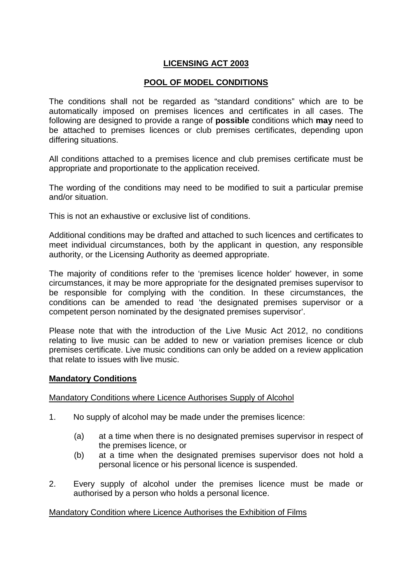# **LICENSING ACT 2003**

# **POOL OF MODEL CONDITIONS**

 The conditions shall not be regarded as "standard conditions" which are to be automatically imposed on premises licences and certificates in all cases. The following are designed to provide a range of **possible** conditions which **may** need to be attached to premises licences or club premises certificates, depending upon differing situations.

 All conditions attached to a premises licence and club premises certificate must be appropriate and proportionate to the application received.

 The wording of the conditions may need to be modified to suit a particular premise and/or situation.

This is not an exhaustive or exclusive list of conditions.

 Additional conditions may be drafted and attached to such licences and certificates to meet individual circumstances, both by the applicant in question, any responsible authority, or the Licensing Authority as deemed appropriate.

 The majority of conditions refer to the 'premises licence holder' however, in some circumstances, it may be more appropriate for the designated premises supervisor to be responsible for complying with the condition. In these circumstances, the conditions can be amended to read 'the designated premises supervisor or a competent person nominated by the designated premises supervisor'.

 Please note that with the introduction of the Live Music Act 2012, no conditions relating to live music can be added to new or variation premises licence or club premises certificate. Live music conditions can only be added on a review application that relate to issues with live music.

### **Mandatory Conditions**

## Mandatory Conditions where Licence Authorises Supply of Alcohol

- $1.$ No supply of alcohol may be made under the premises licence:
	- the premises licence, or (a) at a time when there is no designated premises supervisor in respect of
	- personal licence or his personal licence is suspended. (b) at a time when the designated premises supervisor does not hold a
- $\mathcal{P}$  authorised by a person who holds a personal licence. Every supply of alcohol under the premises licence must be made or

### Mandatory Condition where Licence Authorises the Exhibition of Films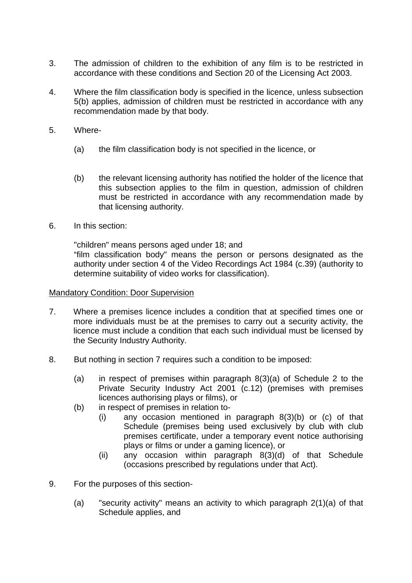- 3. accordance with these conditions and Section 20 of the Licensing Act 2003. The admission of children to the exhibition of any film is to be restricted in
- $\overline{4}$ . 5(b) applies, admission of children must be restricted in accordance with any recommendation made by that body. Where the film classification body is specified in the licence, unless subsection
- 5. Where-
	- (a) the film classification body is not specified in the licence, or
	- this subsection applies to the film in question, admission of children must be restricted in accordance with any recommendation made by that licensing authority. (b) the relevant licensing authority has notified the holder of the licence that
- 6. In this section:

 authority under section 4 of the Video Recordings Act 1984 (c.39) (authority to determine suitability of video works for classification). "children" means persons aged under 18; and "film classification body" means the person or persons designated as the

### **Mandatory Condition: Door Supervision**

- $7<sub>1</sub>$  more individuals must be at the premises to carry out a security activity, the licence must include a condition that each such individual must be licensed by the Security Industry Authority. Where a premises licence includes a condition that at specified times one or
- 8. But nothing in section 7 requires such a condition to be imposed:
	- Private Security Industry Act 2001 (c.12) (premises with premises licences authorising plays or films), or (a) in respect of premises within paragraph 8(3)(a) of Schedule 2 to the
	- (b) in respect of premises in relation to-
		- Schedule (premises being used exclusively by club with club premises certificate, under a temporary event notice authorising plays or films or under a gaming licence), or (i) any occasion mentioned in paragraph 8(3)(b) or (c) of that
		- (occasions prescribed by regulations under that Act). (ii) any occasion within paragraph 8(3)(d) of that Schedule
- 9. For the purposes of this section-
	- $(a)$  Schedule applies, and "security activity" means an activity to which paragraph  $2(1)(a)$  of that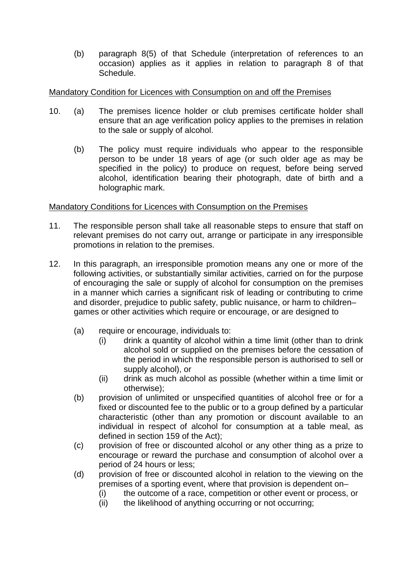$(b)$  occasion) applies as it applies in relation to paragraph 8 of that paragraph 8(5) of that Schedule (interpretation of references to an Schedule.

## Mandatory Condition for Licences with Consumption on and off the Premises

- $(a)$  ensure that an age verification policy applies to the premises in relation to the sale or supply of alcohol. 10. (a) The premises licence holder or club premises certificate holder shall
	- $(b)$  person to be under 18 years of age (or such older age as may be specified in the policy) to produce on request, before being served alcohol, identification bearing their photograph, date of birth and a holographic mark. The policy must require individuals who appear to the responsible

### Mandatory Conditions for Licences with Consumption on the Premises

- 11. The responsible person shall take all reasonable steps to ensure that staff on relevant premises do not carry out, arrange or participate in any irresponsible promotions in relation to the premises.
- $12<sub>1</sub>$  following activities, or substantially similar activities, carried on for the purpose of encouraging the sale or supply of alcohol for consumption on the premises in a manner which carries a significant risk of leading or contributing to crime and disorder, prejudice to public safety, public nuisance, or harm to children– games or other activities which require or encourage, or are designed to In this paragraph, an irresponsible promotion means any one or more of the
	- $(a)$ require or encourage, individuals to:
		- $(i)$  alcohol sold or supplied on the premises before the cessation of the period in which the responsible person is authorised to sell or supply alcohol), or drink a quantity of alcohol within a time limit (other than to drink
		- $(ii)$ drink as much alcohol as possible (whether within a time limit or otherwise);
	- $(b)$  fixed or discounted fee to the public or to a group defined by a particular characteristic (other than any promotion or discount available to an individual in respect of alcohol for consumption at a table meal, as defined in section 159 of the Act); provision of unlimited or unspecified quantities of alcohol free or for a
	- $(c)$  encourage or reward the purchase and consumption of alcohol over a period of 24 hours or less; provision of free or discounted alcohol or any other thing as a prize to
	- $(d)$  premises of a sporting event, where that provision is dependent on– provision of free or discounted alcohol in relation to the viewing on the
		- $(i)$ the outcome of a race, competition or other event or process, or
		- $(ii)$ the likelihood of anything occurring or not occurring;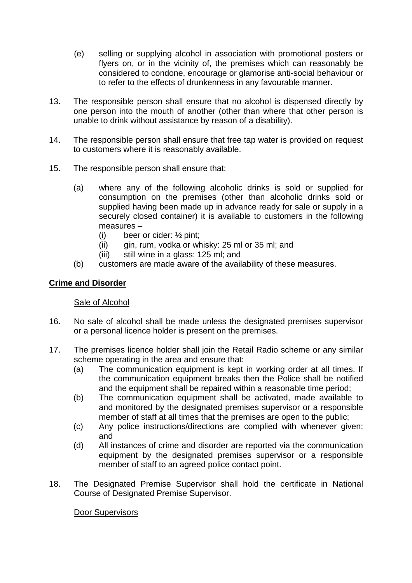- $(e)$  flyers on, or in the vicinity of, the premises which can reasonably be considered to condone, encourage or glamorise anti-social behaviour or to refer to the effects of drunkenness in any favourable manner. selling or supplying alcohol in association with promotional posters or
- $13<sub>l</sub>$  one person into the mouth of another (other than where that other person is unable to drink without assistance by reason of a disability). The responsible person shall ensure that no alcohol is dispensed directly by
- $14.$  to customers where it is reasonably available. The responsible person shall ensure that free tap water is provided on request
- $15.$ The responsible person shall ensure that:
	- $(a)$  consumption on the premises (other than alcoholic drinks sold or supplied having been made up in advance ready for sale or supply in a securely closed container) it is available to customers in the following measures – where any of the following alcoholic drinks is sold or supplied for
		- $(i)$ beer or cider:  $\frac{1}{2}$  pint;
		- $(ii)$ qin, rum, vodka or whisky: 25 ml or 35 ml; and
		- $(iii)$ still wine in a glass: 125 ml; and
	- (b) customers are made aware of the availability of these measures.

# **Crime and Disorder**

## Sale of Alcohol

- 16. or a personal licence holder is present on the premises. No sale of alcohol shall be made unless the designated premises supervisor
- $17.$  scheme operating in the area and ensure that: The premises licence holder shall join the Retail Radio scheme or any similar
	- $(a)$  the communication equipment breaks then the Police shall be notified and the equipment shall be repaired within a reasonable time period; The communication equipment is kept in working order at all times. If
	- $(b)$  and monitored by the designated premises supervisor or a responsible member of staff at all times that the premises are open to the public; The communication equipment shall be activated, made available to
	- $(c)$ Any police instructions/directions are complied with whenever given; and
	- $(d)$  equipment by the designated premises supervisor or a responsible member of staff to an agreed police contact point. All instances of crime and disorder are reported via the communication
- 18. Course of Designated Premise Supervisor. The Designated Premise Supervisor shall hold the certificate in National

## Door Supervisors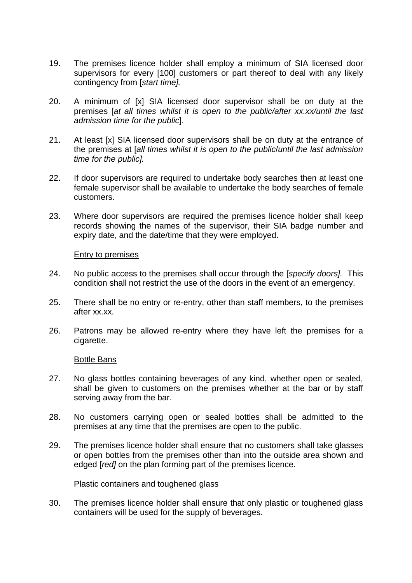- 19. supervisors for every [100] customers or part thereof to deal with any likely contingency from [start time]. The premises licence holder shall employ a minimum of SIA licensed door
- 20. premises [at all times whilst it is open to the public/after xx.xx/until the last admission time for the public]. A minimum of [x] SIA licensed door supervisor shall be on duty at the
- $21.$  the premises at [all times whilst it is open to the public/until the last admission time for the public]. At least [x] SIA licensed door supervisors shall be on duty at the entrance of
- $22.$  female supervisor shall be available to undertake the body searches of female If door supervisors are required to undertake body searches then at least one customers.
- 23. records showing the names of the supervisor, their SIA badge number and expiry date, and the date/time that they were employed. Where door supervisors are required the premises licence holder shall keep

### Entry to premises

- 24. condition shall not restrict the use of the doors in the event of an emergency. No public access to the premises shall occur through the *[specify doors]*. This
- 25. after xx.xx. There shall be no entry or re-entry, other than staff members, to the premises
- 26. Patrons may be allowed re-entry where they have left the premises for a cigarette.

### **Bottle Bans**

- $27.$  shall be given to customers on the premises whether at the bar or by staff serving away from the bar. No glass bottles containing beverages of any kind, whether open or sealed,
- 28. premises at any time that the premises are open to the public. No customers carrying open or sealed bottles shall be admitted to the
- or open bottles from the premises other than into the outside area shown and edged [red] on the plan forming part of the premises licence. 29. The premises licence holder shall ensure that no customers shall take glasses

### Plastic containers and toughened glass

 $30.$  containers will be used for the supply of beverages. The premises licence holder shall ensure that only plastic or toughened glass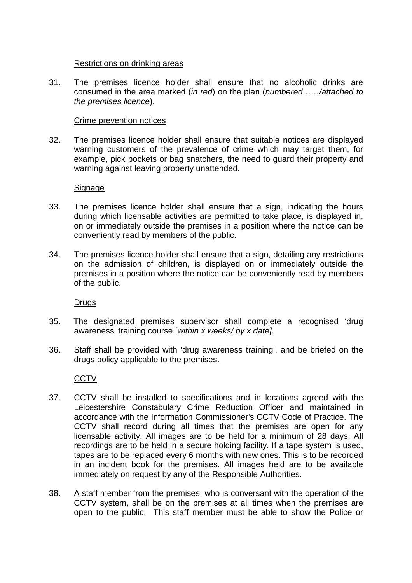### Restrictions on drinking areas

 $31<sup>1</sup>$  consumed in the area marked (in red) on the plan (numbered……/attached to the premises licence). The premises licence holder shall ensure that no alcoholic drinks are

### Crime prevention notices

 $32.$  warning customers of the prevalence of crime which may target them, for example, pick pockets or bag snatchers, the need to guard their property and warning against leaving property unattended. The premises licence holder shall ensure that suitable notices are displayed

### **Signage**

- 33. during which licensable activities are permitted to take place, is displayed in, on or immediately outside the premises in a position where the notice can be conveniently read by members of the public. The premises licence holder shall ensure that a sign, indicating the hours
- 34. on the admission of children, is displayed on or immediately outside the premises in a position where the notice can be conveniently read by members of the public. The premises licence holder shall ensure that a sign, detailing any restrictions

**Drugs** 

- 35. awareness' training course [within x weeks/ by x date]. The designated premises supervisor shall complete a recognised 'drug
- 36. drugs policy applicable to the premises. Staff shall be provided with 'drug awareness training', and be briefed on the

## **CCTV**

- 37. Leicestershire Constabulary Crime Reduction Officer and maintained in accordance with the Information Commissioner's CCTV Code of Practice. The CCTV shall record during all times that the premises are open for any licensable activity. All images are to be held for a minimum of 28 days. All recordings are to be held in a secure holding facility. If a tape system is used, tapes are to be replaced every 6 months with new ones. This is to be recorded in an incident book for the premises. All images held are to be available immediately on request by any of the Responsible Authorities. 37. CCTV shall be installed to specifications and in locations agreed with the
- 38. CCTV system, shall be on the premises at all times when the premises are open to the public. This staff member must be able to show the Police or A staff member from the premises, who is conversant with the operation of the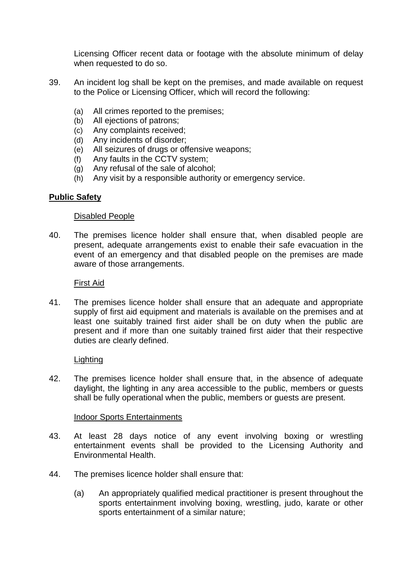Licensing Officer recent data or footage with the absolute minimum of delay when requested to do so.

- 39 to the Police or Licensing Officer, which will record the following: An incident log shall be kept on the premises, and made available on request
	- (a) All crimes reported to the premises;
	- (b) All ejections of patrons;
	- (c) Any complaints received;
	- (d) Any incidents of disorder;
	- (e) All seizures of drugs or offensive weapons;
	- (f) Any faults in the CCTV system;
	- (g) Any refusal of the sale of alcohol;
	- (h) Any visit by a responsible authority or emergency service.

## **Public Safety**

### **Disabled People**

 $40<sub>1</sub>$  present, adequate arrangements exist to enable their safe evacuation in the event of an emergency and that disabled people on the premises are made aware of those arrangements. The premises licence holder shall ensure that, when disabled people are

### First Aid

 $41.$  supply of first aid equipment and materials is available on the premises and at least one suitably trained first aider shall be on duty when the public are present and if more than one suitably trained first aider that their respective duties are clearly defined. The premises licence holder shall ensure that an adequate and appropriate

### Lighting

42. daylight, the lighting in any area accessible to the public, members or guests shall be fully operational when the public, members or guests are present. The premises licence holder shall ensure that, in the absence of adequate

### **Indoor Sports Entertainments**

- 43. entertainment events shall be provided to the Licensing Authority and Environmental Health. At least 28 days notice of any event involving boxing or wrestling
- $44<sub>1</sub>$ The premises licence holder shall ensure that:
	- sports entertainment involving boxing, wrestling, judo, karate or other sports entertainment of a similar nature; (a) An appropriately qualified medical practitioner is present throughout the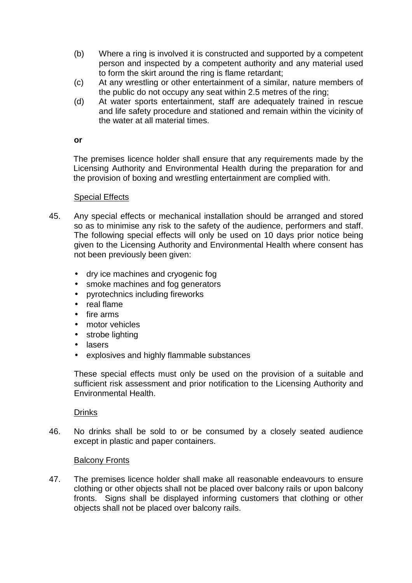- person and inspected by a competent authority and any material used to form the skirt around the ring is flame retardant; (b) Where a ring is involved it is constructed and supported by a competent
- the public do not occupy any seat within 2.5 metres of the ring; (c) At any wrestling or other entertainment of a similar, nature members of
- and life safety procedure and stationed and remain within the vicinity of the water at all material times. (d) At water sports entertainment, staff are adequately trained in rescue

### **or**

 Licensing Authority and Environmental Health during the preparation for and the provision of boxing and wrestling entertainment are complied with. The premises licence holder shall ensure that any requirements made by the

### **Special Effects**

- $45<sub>1</sub>$  so as to minimise any risk to the safety of the audience, performers and staff. The following special effects will only be used on 10 days prior notice being given to the Licensing Authority and Environmental Health where consent has not been previously been given: Any special effects or mechanical installation should be arranged and stored
	- $\bullet$ • dry ice machines and cryogenic fog
	- $\bullet$ smoke machines and fog generators
	- pyrotechnics including fireworks
	- real flame
	- $\bullet$ fire arms
	- motor vehicles
	- $\bullet$ strobe lighting
	- $\bullet$ **lasers**
	- explosives and highly flammable substances

 These special effects must only be used on the provision of a suitable and sufficient risk assessment and prior notification to the Licensing Authority and Environmental Health.

## Drinks

46. except in plastic and paper containers. No drinks shall be sold to or be consumed by a closely seated audience

## **Balcony Fronts**

47. clothing or other objects shall not be placed over balcony rails or upon balcony fronts. Signs shall be displayed informing customers that clothing or other objects shall not be placed over balcony rails. The premises licence holder shall make all reasonable endeavours to ensure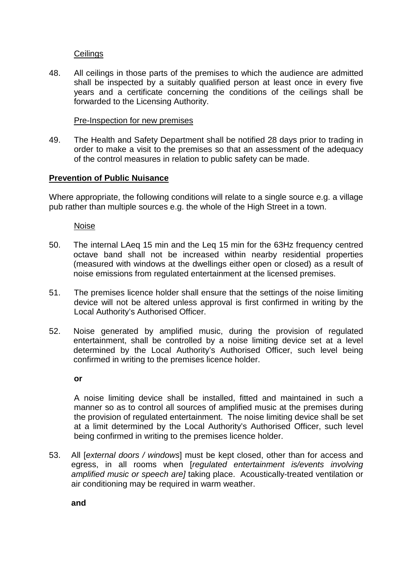# **Ceilings**

48. shall be inspected by a suitably qualified person at least once in every five years and a certificate concerning the conditions of the ceilings shall be forwarded to the Licensing Authority. All ceilings in those parts of the premises to which the audience are admitted

## **Pre-Inspection for new premises**

49. order to make a visit to the premises so that an assessment of the adequacy of the control measures in relation to public safety can be made. The Health and Safety Department shall be notified 28 days prior to trading in

### **Prevention of Public Nuisance**

 Where appropriate, the following conditions will relate to a single source e.g. a village pub rather than multiple sources e.g. the whole of the High Street in a town.

Noise

- $50<sub>1</sub>$  octave band shall not be increased within nearby residential properties (measured with windows at the dwellings either open or closed) as a result of noise emissions from regulated entertainment at the licensed premises. The internal LAeq 15 min and the Leq 15 min for the 63Hz frequency centred
- $51.$  device will not be altered unless approval is first confirmed in writing by the Local Authority's Authorised Officer. The premises licence holder shall ensure that the settings of the noise limiting
- 52. entertainment, shall be controlled by a noise limiting device set at a level determined by the Local Authority's Authorised Officer, such level being confirmed in writing to the premises licence holder. Noise generated by amplified music, during the provision of regulated

**or** 

 A noise limiting device shall be installed, fitted and maintained in such a manner so as to control all sources of amplified music at the premises during the provision of regulated entertainment. The noise limiting device shall be set at a limit determined by the Local Authority's Authorised Officer, such level being confirmed in writing to the premises licence holder.

53. egress, in all rooms when [regulated entertainment is/events involving amplified music or speech are] taking place. Acoustically-treated ventilation or air conditioning may be required in warm weather. All [external doors / windows] must be kept closed, other than for access and

**and**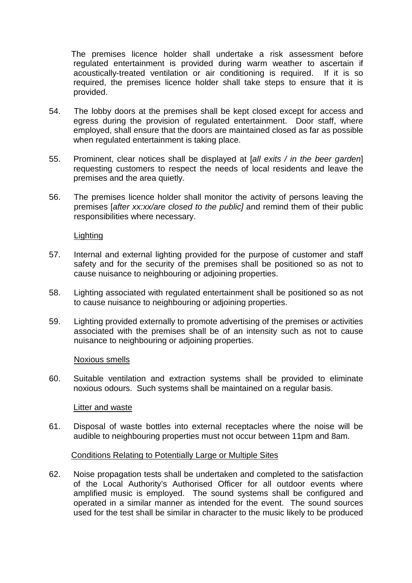The premises licence holder shall undertake a risk assessment before regulated entertainment is provided during warm weather to ascertain if acoustically-treated ventilation or air conditioning is required. If it is so required, the premises licence holder shall take steps to ensure that it is provided.

- 54. egress during the provision of regulated entertainment. Door staff, where employed, shall ensure that the doors are maintained closed as far as possible when regulated entertainment is taking place. The lobby doors at the premises shall be kept closed except for access and
- 55. Prominent, clear notices shall be displayed at [all exits / in the beer garden] requesting customers to respect the needs of local residents and leave the premises and the area quietly.
- 56. premises [after xx:xx/are closed to the public] and remind them of their public responsibilities where necessary. The premises licence holder shall monitor the activity of persons leaving the

**Lighting** 

- 57. safety and for the security of the premises shall be positioned so as not to cause nuisance to neighbouring or adjoining properties. Internal and external lighting provided for the purpose of customer and staff
- 58. to cause nuisance to neighbouring or adjoining properties. Lighting associated with regulated entertainment shall be positioned so as not
- 59. associated with the premises shall be of an intensity such as not to cause nuisance to neighbouring or adjoining properties. Lighting provided externally to promote advertising of the premises or activities

Noxious smells

60. noxious odours. Such systems shall be maintained on a regular basis. Suitable ventilation and extraction systems shall be provided to eliminate

### Litter and waste

 61. Disposal of waste bottles into external receptacles where the noise will be audible to neighbouring properties must not occur between 11pm and 8am.

## Conditions Relating to Potentially Large or Multiple Sites

62. of the Local Authority's Authorised Officer for all outdoor events where amplified music is employed. The sound systems shall be configured and operated in a similar manner as intended for the event. The sound sources used for the test shall be similar in character to the music likely to be produced Noise propagation tests shall be undertaken and completed to the satisfaction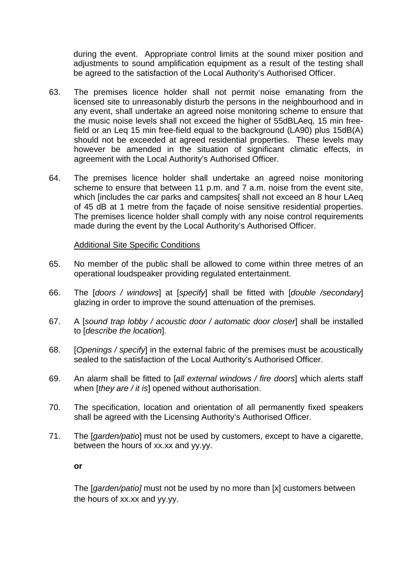during the event. Appropriate control limits at the sound mixer position and adjustments to sound amplification equipment as a result of the testing shall be agreed to the satisfaction of the Local Authority's Authorised Officer.

- 63. licensed site to unreasonably disturb the persons in the neighbourhood and in any event, shall undertake an agreed noise monitoring scheme to ensure that the music noise levels shall not exceed the higher of 55dBLAeq, 15 min free- field or an Leq 15 min free-field equal to the background (LA90) plus 15dB(A) should not be exceeded at agreed residential properties. These levels may however be amended in the situation of significant climatic effects, in agreement with the Local Authority's Authorised Officer. The premises licence holder shall not permit noise emanating from the
- 64. scheme to ensure that between 11 p.m. and 7 a.m. noise from the event site, which [includes the car parks and campsites[ shall not exceed an 8 hour LAeq of 45 dB at 1 metre from the façade of noise sensitive residential properties. The premises licence holder shall comply with any noise control requirements made during the event by the Local Authority's Authorised Officer. The premises licence holder shall undertake an agreed noise monitoring

## **Additional Site Specific Conditions**

- 65. operational loudspeaker providing regulated entertainment. No member of the public shall be allowed to come within three metres of an
- 66. glazing in order to improve the sound attenuation of the premises. The [doors / windows] at [specify] shall be fitted with [double /secondary]
- 67. to [describe the location]. 67. A [sound trap lobby / acoustic door / automatic door closer] shall be installed
- 68. [Openings / specify] in the external fabric of the premises must be acoustically sealed to the satisfaction of the Local Authority's Authorised Officer.
- 69. when [they are / it is] opened without authorisation. An alarm shall be fitted to [all external windows / fire doors] which alerts staff
- 70. shall be agreed with the Licensing Authority's Authorised Officer. The specification, location and orientation of all permanently fixed speakers
- $71.$  between the hours of xx.xx and yy.yy. The [garden/patio] must not be used by customers, except to have a cigarette,

### **or**

The [garden/patio] must not be used by no more than [x] customers between the hours of xx.xx and yy.yy.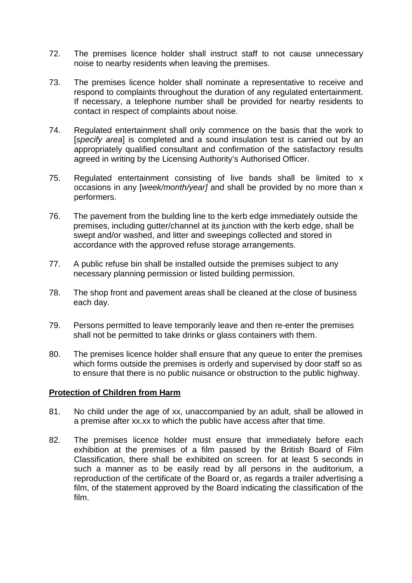- $72.$  noise to nearby residents when leaving the premises. The premises licence holder shall instruct staff to not cause unnecessary
- 73 respond to complaints throughout the duration of any regulated entertainment. If necessary, a telephone number shall be provided for nearby residents to contact in respect of complaints about noise. The premises licence holder shall nominate a representative to receive and
- 74. Regulated entertainment shall only commence on the basis that the work to [specify area] is completed and a sound insulation test is carried out by an appropriately qualified consultant and confirmation of the satisfactory results agreed in writing by the Licensing Authority's Authorised Officer.
- 75. Regulated entertainment consisting of live bands shall be limited to x occasions in any [week/month/year] and shall be provided by no more than x performers.
- 76. premises, including gutter/channel at its junction with the kerb edge, shall be swept and/or washed, and litter and sweepings collected and stored in accordance with the approved refuse storage arrangements. The pavement from the building line to the kerb edge immediately outside the
- 77. necessary planning permission or listed building permission. A public refuse bin shall be installed outside the premises subject to any
- 78. The shop front and pavement areas shall be cleaned at the close of business each day.
- 79. shall not be permitted to take drinks or glass containers with them. Persons permitted to leave temporarily leave and then re-enter the premises
- 80. which forms outside the premises is orderly and supervised by door staff so as to ensure that there is no public nuisance or obstruction to the public highway. The premises licence holder shall ensure that any queue to enter the premises

## **Protection of Children from Harm**

- $81.$  a premise after xx.xx to which the public have access after that time. No child under the age of xx, unaccompanied by an adult, shall be allowed in
- 82. exhibition at the premises of a film passed by the British Board of Film Classification, there shall be exhibited on screen. for at least 5 seconds in such a manner as to be easily read by all persons in the auditorium, a reproduction of the certificate of the Board or, as regards a trailer advertising a film, of the statement approved by the Board indicating the classification of the The premises licence holder must ensure that immediately before each film.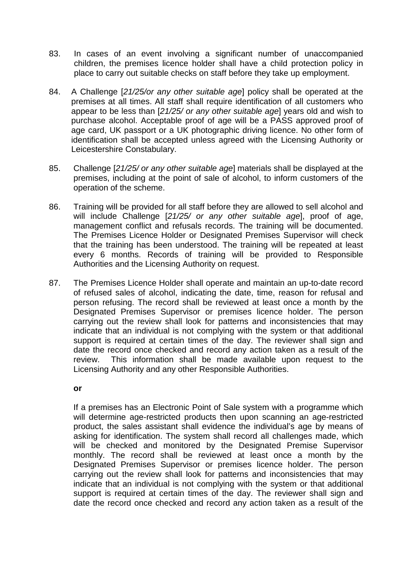- 83. children, the premises licence holder shall have a child protection policy in place to carry out suitable checks on staff before they take up employment. In cases of an event involving a significant number of unaccompanied
- 84. premises at all times. All staff shall require identification of all customers who appear to be less than [21/25/ or any other suitable age] years old and wish to purchase alcohol. Acceptable proof of age will be a PASS approved proof of age card, UK passport or a UK photographic driving licence. No other form of identification shall be accepted unless agreed with the Licensing Authority or A Challenge [21/25/or any other suitable age] policy shall be operated at the Leicestershire Constabulary.
- 85. Challenge [21/25/ or any other suitable age] materials shall be displayed at the premises, including at the point of sale of alcohol, to inform customers of the operation of the scheme.
- 86. will include Challenge [21/25/ or any other suitable age], proof of age, management conflict and refusals records. The training will be documented. The Premises Licence Holder or Designated Premises Supervisor will check that the training has been understood. The training will be repeated at least every 6 months. Records of training will be provided to Responsible Authorities and the Licensing Authority on request. Training will be provided for all staff before they are allowed to sell alcohol and
- 87. of refused sales of alcohol, indicating the date, time, reason for refusal and person refusing. The record shall be reviewed at least once a month by the Designated Premises Supervisor or premises licence holder. The person carrying out the review shall look for patterns and inconsistencies that may indicate that an individual is not complying with the system or that additional support is required at certain times of the day. The reviewer shall sign and date the record once checked and record any action taken as a result of the review. Licensing Authority and any other Responsible Authorities. The Premises Licence Holder shall operate and maintain an up-to-date record This information shall be made available upon request to the

### **or**

 If a premises has an Electronic Point of Sale system with a programme which will determine age-restricted products then upon scanning an age-restricted product, the sales assistant shall evidence the individual's age by means of asking for identification. The system shall record all challenges made, which will be checked and monitored by the Designated Premise Supervisor monthly. The record shall be reviewed at least once a month by the Designated Premises Supervisor or premises licence holder. The person carrying out the review shall look for patterns and inconsistencies that may indicate that an individual is not complying with the system or that additional support is required at certain times of the day. The reviewer shall sign and date the record once checked and record any action taken as a result of the